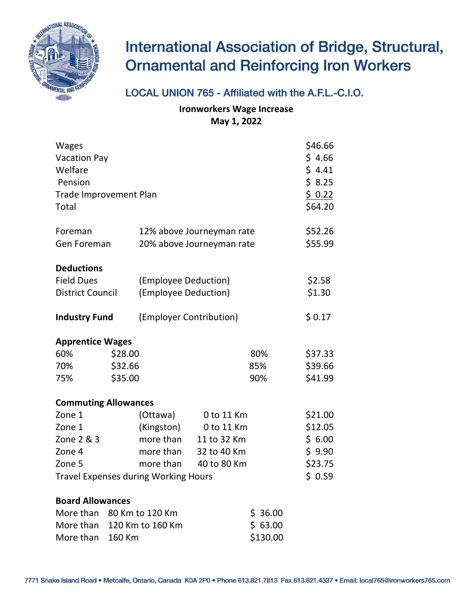

## **International Association of Bridge, Structural, Ornamental and Reinforcing Iron Workers**

## LOCAL UNION 765 - Affiliated with the A.F.L.-C.I.O.

**Ironworkers Wage Increase May 1, 2022**

| <b>Wages</b><br><b>Vacation Pay</b><br>Welfare<br>Pension<br><b>Trade Improvement Plan</b><br>Total |         |                           |                           |          |         |  |  |
|-----------------------------------------------------------------------------------------------------|---------|---------------------------|---------------------------|----------|---------|--|--|
| Foreman                                                                                             |         |                           | 12% above Journeyman rate |          | \$52.26 |  |  |
| Gen Foreman                                                                                         |         | 20% above Journeyman rate | \$55.99                   |          |         |  |  |
| <b>Deductions</b>                                                                                   |         |                           |                           |          |         |  |  |
| <b>Field Dues</b>                                                                                   |         | (Employee Deduction)      |                           |          | \$2.58  |  |  |
| <b>District Council</b>                                                                             |         | (Employee Deduction)      |                           |          | \$1.30  |  |  |
| <b>Industry Fund</b>                                                                                |         | (Employer Contribution)   |                           |          | \$0.17  |  |  |
| <b>Apprentice Wages</b>                                                                             |         |                           |                           |          |         |  |  |
| 60%                                                                                                 | \$28.00 |                           |                           | 80%      | \$37.33 |  |  |
| 70%                                                                                                 | \$32.66 |                           |                           | 85%      | \$39.66 |  |  |
| 75%                                                                                                 | \$35.00 |                           |                           | 90%      | \$41.99 |  |  |
| <b>Commuting Allowances</b>                                                                         |         |                           |                           |          |         |  |  |
| Zone 1                                                                                              |         | (Ottawa)                  | 0 to 11 Km                |          | \$21.00 |  |  |
| Zone 1                                                                                              |         | (Kingston)                | 0 to 11 Km                |          | \$12.05 |  |  |
| Zone 2 & 3                                                                                          |         | more than                 | 11 to 32 Km               |          | \$6.00  |  |  |
| Zone 4                                                                                              |         | more than                 | 32 to 40 Km               |          | \$9.90  |  |  |
| Zone 5                                                                                              |         | more than                 | 40 to 80 Km               |          | \$23.75 |  |  |
| <b>Travel Expenses during Working Hours</b>                                                         |         |                           |                           |          |         |  |  |
| <b>Board Allowances</b>                                                                             |         |                           |                           |          |         |  |  |
| More than                                                                                           |         | 80 Km to 120 Km           |                           | \$36.00  |         |  |  |
| More than                                                                                           |         | 120 Km to 160 Km          |                           | \$63.00  |         |  |  |
| More than                                                                                           | 160 Km  |                           |                           | \$130.00 |         |  |  |